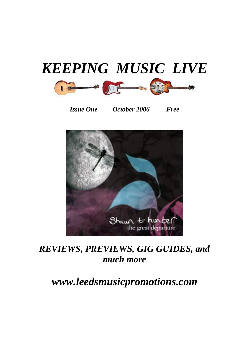

*Issue One October 2006 Free* 



#### *REVIEWS, PREVIEWS, GIG GUIDES, and much more*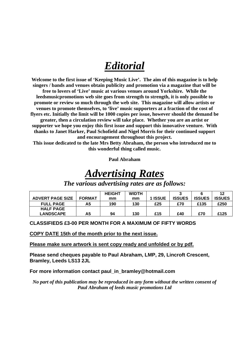# *Editorial*

**Welcome to the first issue of 'Keeping Music Live'. The aim of this magazine is to help singers / bands and venues obtain publicity and promotion via a magazine that will be free to lovers of 'Live' music at various venues around Yorkshire. While the leedsmusicpromotions web site goes from strength to strength, it is only possible to promote or review so much through the web site. This magazine will allow artists or venues to promote themselves, to 'live' music supporters at a fraction of the cost of flyers etc. Initially the limit will be 1000 copies per issue, however should the demand be greater, then a circulation review will take place. Whether you are an artist or supporter we hope you enjoy this first issue and support this innovative venture. With thanks to Janet Harker, Paul Schofield and Nigel Morris for their continued support and encouragement throughout this project.** 

**This issue dedicated to the late Mrs Betty Abraham, the person who introduced me to this wonderful thing called music.** 

**Paul Abraham** 

# *Advertising Rates*

|                         |               | <b>HEIGHT</b> | <b>WIDTH</b> |         |               |               | 12            |
|-------------------------|---------------|---------------|--------------|---------|---------------|---------------|---------------|
| <b>ADVERT PAGE SIZE</b> | <b>FORMAT</b> | mm            | mm           | 1 ISSUE | <b>ISSUES</b> | <b>ISSUES</b> | <b>ISSUES</b> |
| <b>FULL PAGE</b>        | А5            | 190           | 130          | £25     | £70           | £135          | £250          |
| <b>HALF PAGE</b>        |               |               |              |         |               |               |               |
| <b>LANDSCAPE</b>        | А5            | 94            | 130          | £15     | £40           | £70           | £125          |

#### *The various advertising rates are as follows:*

#### **CLASSIFIEDS £3-00 PER MONTH FOR A MAXIMUM OF FIFTY WORDS**

**COPY DATE 15th of the month prior to the next issue.**

**Please make sure artwork is sent copy ready and unfolded or by pdf.**

**Please send cheques payable to Paul Abraham, LMP, 29, Lincroft Crescent, Bramley, Leeds LS13 2JL** 

**For more information contact paul\_in\_bramley@hotmail.com** 

*No part of this publication may be reproduced in any form without the written consent of Paul Abraham of leeds music promotions Ltd*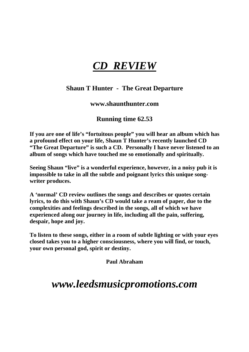# *CD REVIEW*

#### **Shaun T Hunter - The Great Departure**

#### **www.shaunthunter.com**

#### **Running time 62.53**

**If you are one of life's "fortuitous people" you will hear an album which has a profound effect on your life, Shaun T Hunter's recently launched CD "The Great Departure" is such a CD. Personally I have never listened to an album of songs which have touched me so emotionally and spiritually.** 

**Seeing Shaun "live" is a wonderful experience, however, in a noisy pub it is impossible to take in all the subtle and poignant lyrics this unique songwriter produces.** 

**A 'normal' CD review outlines the songs and describes or quotes certain lyrics, to do this with Shaun's CD would take a ream of paper, due to the complexities and feelings described in the songs, all of which we have experienced along our journey in life, including all the pain, suffering, despair, hope and joy.** 

**To listen to these songs, either in a room of subtle lighting or with your eyes closed takes you to a higher consciousness, where you will find, or touch, your own personal god, spirit or destiny.** 

**Paul Abraham**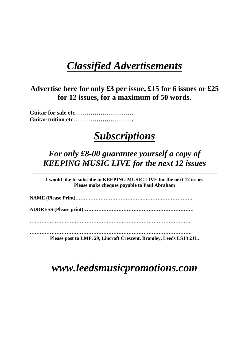### *Classified Advertisements*

**Advertise here for only £3 per issue, £15 for 6 issues or £25 for 12 issues, for a maximum of 50 words.** 

**Guitar for sale etc………………………… Guitar tuition etc………………………….** 

#### *Subscriptions*

#### *For only £8-00 guarantee yourself a copy of KEEPING MUSIC LIVE for the next 12 issues*

*--------------------------------------------------------------------------*  **I would like to subscibe to KEEPING MUSIC LIVE for the next 12 issues Please make cheques payable to Paul Abraham** 

**NAME (Please Print)…………………………………………………………….** 

**ADDRESS (Please print)…………………………………………………………** 

**…………………………………………………………………………………….** 

**……………………………………………………………………………………. Please post to LMP. 29, Lincroft Crescent, Bramley, Leeds LS13 2JL.**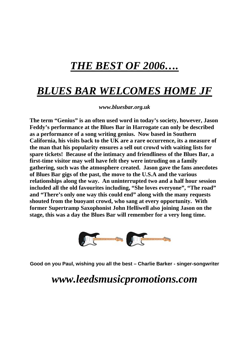# *THE BEST OF 2006….*

### *BLUES BAR WELCOMES HOME JF*

*www.bluesbar.org.uk* 

**The term "Genius" is an often used word in today's society, however, Jason Feddy's performance at the Blues Bar in Harrogate can only be described as a performance of a song writing genius. Now based in Southern California, his visits back to the UK are a rare occurrence, its a measure of the man that his popularity ensures a sell out crowd with waiting lists for spare tickets! Because of the intimacy and friendliness of the Blues Bar, a first-time visitor may well have felt they were intruding on a family gathering, such was the atmosphere created. Jason gave the fans anecdotes of Blues Bar gigs of the past, the move to the U.S.A and the various relationships along the way. An uninterrupted two and a half hour session included all the old favourites including, "She loves everyone", "The road" and "There's only one way this could end" along with the many requests shouted from the buoyant crowd, who sang at every opportunity. With former Supertramp Saxophonist John Helliwell also joining Jason on the stage, this was a day the Blues Bar will remember for a very long time.** 



**Good on you Paul, wishing you all the best – Charlie Barker - singer-songwriter**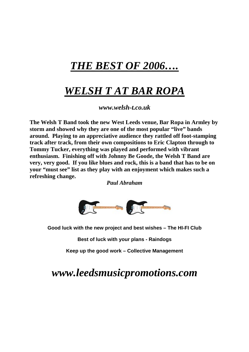# *THE BEST OF 2006….*

# *WELSH T AT BAR ROPA*

*[www.welsh-t.co.uk](http://www.welsh-t.co.uk/)*

**The Welsh T Band took the new West Leeds venue, Bar Ropa in Armley by storm and showed why they are one of the most popular "live" bands around. Playing to an appreciative audience they rattled off foot-stamping track after track, from their own compositions to Eric Clapton through to Tommy Tucker, everything was played and performed with vibrant enthusiasm. Finishing off with Johnny Be Goode, the Welsh T Band are very, very good. If you like blues and rock, this is a band that has to be on your "must see" list as they play with an enjoyment which makes such a refreshing change.** 

*Paul Abraham* 



**Good luck with the new project and best wishes – The HI-FI Club** 

**Best of luck with your plans - Raindogs** 

**Keep up the good work – Collective Management**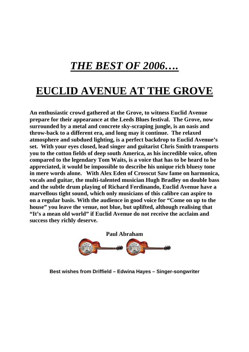# *THE BEST OF 2006….*

# **EUCLID AVENUE AT THE GROVE**

**An enthusiastic crowd gathered at the Grove, to witness Euclid Avenue prepare for their appearance at the Leeds Blues festival. The Grove, now surrounded by a metal and concrete sky-scraping jungle, is an oasis and throw-back to a different era, and long may it continue. The relaxed atmosphere and subdued lighting, is a perfect backdrop to Euclid Avenue's set. With your eyes closed, lead singer and guitarist Chris Smith transports you to the cotton fields of deep south America, as his incredible voice, often compared to the legendary Tom Waits, is a voice that has to be heard to be appreciated, it would be impossible to describe his unique rich bluesy tone in mere words alone. With Alex Eden of Crosscut Saw fame on harmonica, vocals and guitar, the multi-talented musician Hugh Bradley on double bass and the subtle drum playing of Richard Ferdinando, Euclid Avenue have a marvellous tight sound, which only musicians of this calibre can aspire to on a regular basis. With the audience in good voice for "Come on up to the house" you leave the venue, not blue, but uplifted, although realising that "It's a mean old world" if Euclid Avenue do not receive the acclaim and success they richly deserve.** 



**Best wishes from Driffield – Edwina Hayes – Singer-songwriter**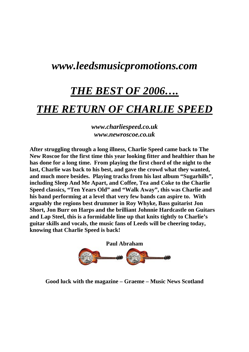#### *[www.leedsmusicpromotions.com](http://www.leedsmusicpromotions.com/)*

# *THE BEST OF 2006….*

#### *THE RETURN OF CHARLIE SPEED*

*[www.charliespeed.co.uk](http://www.charliespeed.co.uk/) www.newroscoe.co.uk* 

**After struggling through a long illness, Charlie Speed came back to The New Roscoe for the first time this year looking fitter and healthier than he has done for a long time. From playing the first chord of the night to the last, Charlie was back to his best, and gave the crowd what they wanted, and much more besides. Playing tracks from his last album "Sugarhills", including Sleep And Me Apart, and Coffee, Tea and Coke to the Charlie Speed classics, "Ten Years Old" and "Walk Away", this was Charlie and his band performing at a level that very few bands can aspire to. With arguably the regions best drummer in Roy Whyke, Bass guitarist Jon Short, Jon Burr on Harps and the brilliant Johnnie Hardcastle on Guitars and Lap Steel, this is a formidable line up that knits tightly to Charlie's guitar skills and vocals, the music fans of Leeds will be cheering today, knowing that Charlie Speed is back!** 



**Good luck with the magazine – Graeme – Music News Scotland**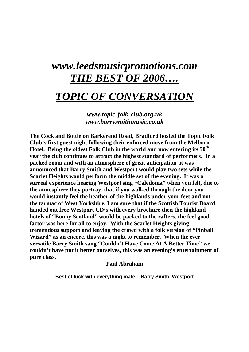# *www.leedsmusicpromotions.com THE BEST OF 2006….*

#### *TOPIC OF CONVERSATION*

*[www.topic-folk-club.org.uk](http://www.topic-folk-club.org.uk/) www.barrysmithmusic.co.uk* 

**The Cock and Bottle on Barkerend Road, Bradford hosted the Topic Folk Club's first guest night following their enforced move from the Melborn Hotel. Being the oldest Folk Club in the world and now entering its 50th year the club continues to attract the highest standard of performers. In a packed room and with an atmosphere of great anticipation it was announced that Barry Smith and Westport would play two sets while the Scarlet Heights would perform the middle set of the evening. It was a surreal experience hearing Westport sing "Caledonia" when you felt, due to the atmosphere they portray, that if you walked through the door you would instantly feel the heather of the highlands under your feet and not the tarmac of West Yorkshire. I am sure that if the Scottish Tourist Board handed out free Westport CD's with every brochure then the highland hotels of "Bonny Scotland" would be packed to the rafters, the feel good factor was here for all to enjoy. With the Scarlet Heights giving tremendous support and leaving the crowd with a folk version of "Pinball Wizard" as an encore, this was a night to remember. When the ever versatile Barry Smith sang "Couldn't Have Come At A Better Time" we couldn't have put it better ourselves, this was an evening's entertainment of pure class.** 

#### **Paul Abraham**

**Best of luck with everything mate – Barry Smith, Westport**